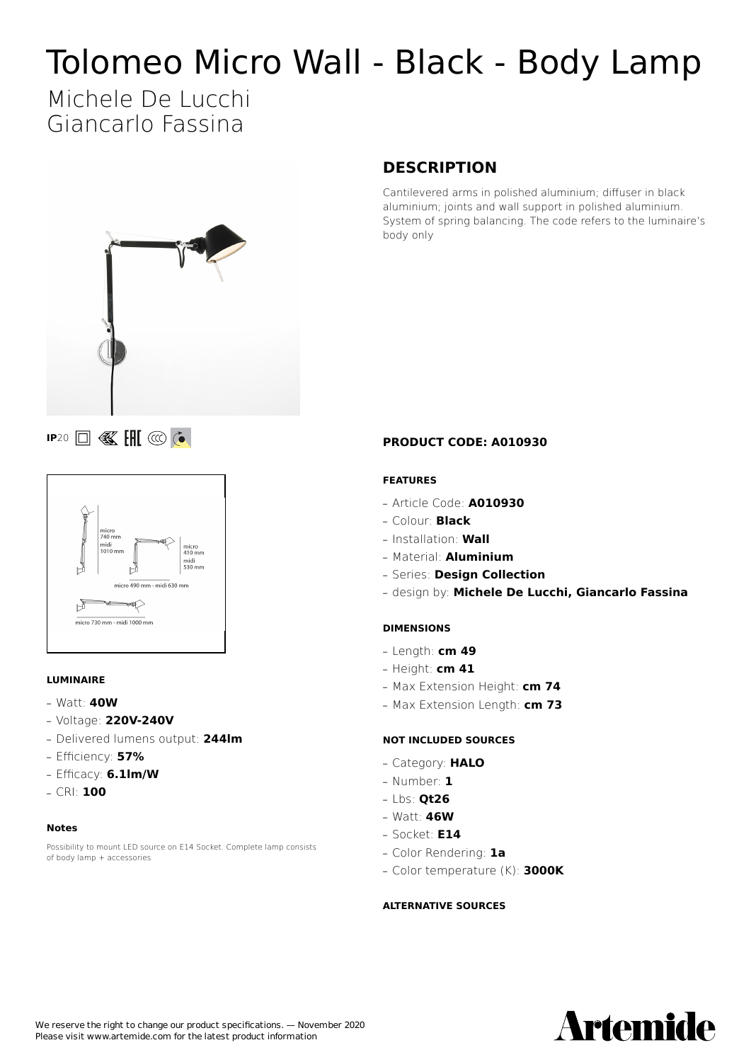# Tolomeo Micro Wall - Black - Body Lamp

## Michele De Lucchi Giancarlo Fassina



### **IP**20 **I K IH** @ **C**



#### **LUMINAIRE**

- **—** Watt: **40W**
- **—** Voltage: **220V-240V**
- **—** Delivered lumens output: **244lm**
- **—** Efficiency: **57%**
- **—** Efficacy: **6.1lm/W**
- **—** CRI: **100**

#### **Notes**

Possibility to mount LED source on E14 Socket. Complete lamp consists of body lamp + accessories

#### **DESCRIPTION**

Cantilevered arms in polished aluminium; diffuser in black aluminium; joints and wall support in polished aluminium. System of spring balancing. The code refers to the luminaire's body only

#### **PRODUCT CODE: A010930**

#### **FEATURES**

- **—** Article Code: **A010930**
- **—** Colour: **Black**
- **—** Installation: **Wall**
- **—** Material: **Aluminium**
- **—** Series: **Design Collection**
- **—** design by: **Michele De Lucchi, Giancarlo Fassina**

#### **DIMENSIONS**

- **—** Length: **cm 49**
- **—** Height: **cm 41**
- **—** Max Extension Height: **cm 74**
- **—** Max Extension Length: **cm 73**

#### **NOT INCLUDED SOURCES**

- **—** Category: **HALO**
- **—** Number: **1**
- **—** Lbs: **Qt26**
- **—** Watt: **46W**
- **—** Socket: **E14**
- **—** Color Rendering: **1a**
- **—** Color temperature (K): **3000K**

#### **ALTERNATIVE SOURCES**